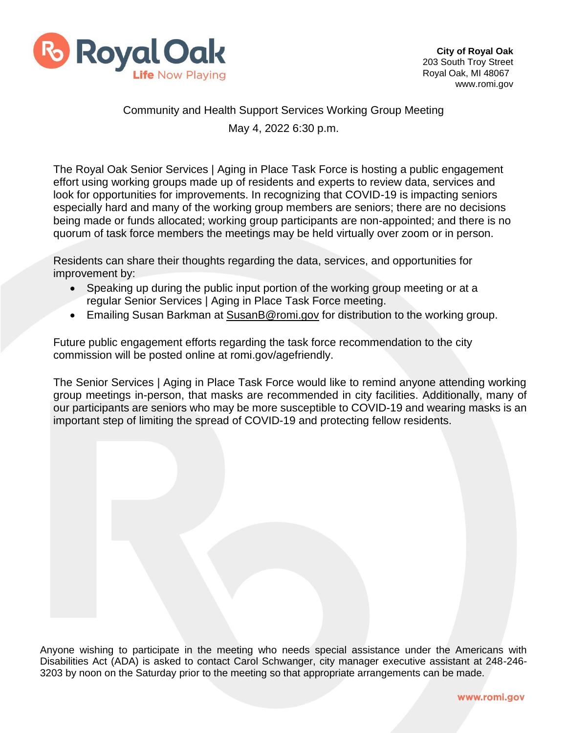

# Community and Health Support Services Working Group Meeting May 4, 2022 6:30 p.m.

The Royal Oak Senior Services | Aging in Place Task Force is hosting a public engagement effort using working groups made up of residents and experts to review data, services and look for opportunities for improvements. In recognizing that COVID-19 is impacting seniors especially hard and many of the working group members are seniors; there are no decisions being made or funds allocated; working group participants are non-appointed; and there is no quorum of task force members the meetings may be held virtually over zoom or in person.

Residents can share their thoughts regarding the data, services, and opportunities for improvement by:

- Speaking up during the public input portion of the working group meeting or at a regular Senior Services | Aging in Place Task Force meeting.
- Emailing Susan Barkman at [SusanB@romi.gov](mailto:SusanB@romi.gov) for distribution to the working group.

Future public engagement efforts regarding the task force recommendation to the city commission will be posted online at romi.gov/agefriendly.

The Senior Services | Aging in Place Task Force would like to remind anyone attending working group meetings in-person, that masks are recommended in city facilities. Additionally, many of our participants are seniors who may be more susceptible to COVID-19 and wearing masks is an important step of limiting the spread of COVID-19 and protecting fellow residents.

Anyone wishing to participate in the meeting who needs special assistance under the Americans with Disabilities Act (ADA) is asked to contact Carol Schwanger, city manager executive assistant at 248-246- 3203 by noon on the Saturday prior to the meeting so that appropriate arrangements can be made.